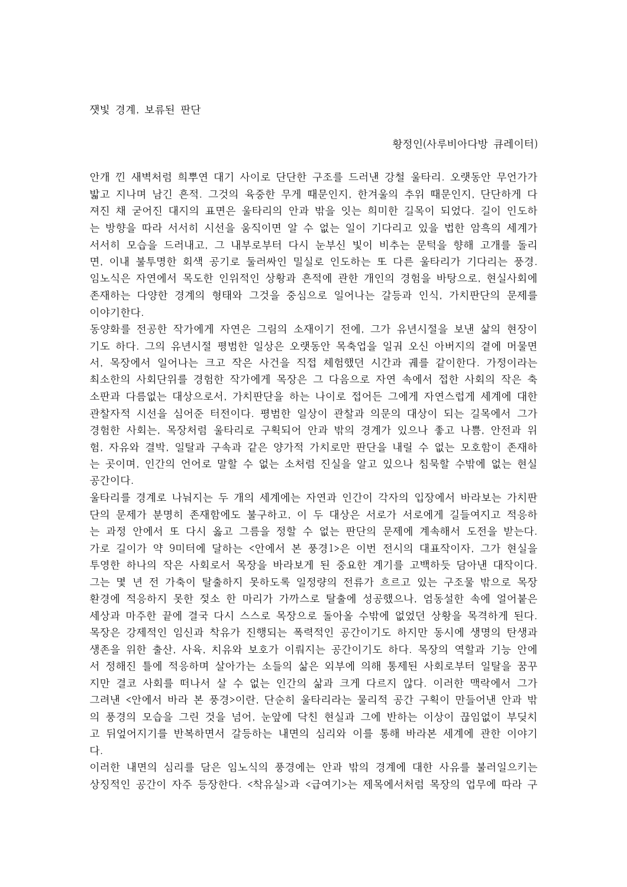## 황정인 (사루비아다방 큐레이터)

안개 낀 새벽처럼 희뿌연 대기 사이로 단단한 구조를 드러낸 강철 울타리. 오랫동안 무언가가 밟고 지나며 남긴 흔적. 그것의 육중한 무게 때문인지, 한겨울의 추위 때문인지, 단단하게 다 져진 채 굳어진 대지의 표면은 울타리의 안과 밖을 잇는 희미한 길목이 되었다. 길이 인도하 는 방향을 따라 서서히 시선을 움직이면 알 수 없는 일이 기다리고 있을 법한 암흑의 세계가 서서히 모습을 드러내고, 그 내부로부터 다시 눈부신 빛이 비추는 문턱을 향해 고개를 돌리 면, 이내 불투명한 회색 공기로 둘러싸인 밀실로 인도하는 또 다른 울타리가 기다리는 풍경. 임노식은 자연에서 목도한 인위적인 상황과 흔적에 관한 개인의 경험을 바탕으로, 현실사회에 존재하는 다양한 경계의 형태와 그것을 중심으로 일어나는 갈등과 인식, 가치판단의 문제를 이야기한다.

동양화를 전공한 작가에게 자연은 그림의 소재이기 전에, 그가 유년시절을 보낸 삶의 현장이 기도 하다. 그의 유년시절 평범한 일상은 오랫동안 목축업을 일궈 오신 아버지의 곁에 머물면 서, 목장에서 일어나는 크고 작은 사건을 직접 체험했던 시간과 궤를 같이한다. 가정이라는 최소한의 사회단위를 경험한 작가에게 목장은 그 다음으로 자연 속에서 접한 사회의 작은 축 소판과 다름없는 대상으로서, 가치판단을 하는 나이로 접어든 그에게 자연스럽게 세계에 대한 관찰자적 시선을 심어준 터전이다. 평범한 일상이 관찰과 의문의 대상이 되는 길목에서 그가 경험한 사회는, 목장처럼 울타리로 구획되어 안과 밖의 경계가 있으나 좋고 나쁨, 안전과 위 험, 자유와 결박, 일탈과 구속과 같은 양가적 가치로만 판단을 내릴 수 없는 모호함이 존재하 는 곳이며, 인간의 언어로 말할 수 없는 소처럼 진실을 알고 있으나 침묵할 수밖에 없는 현실 공간이다.

울타리를 경계로 나눠지는 두 개의 세계에는 자연과 인간이 각자의 입장에서 바라보는 가치판 단의 문제가 분명히 존재함에도 불구하고, 이 두 대상은 서로가 서로에게 길들여지고 적응하 는 과정 안에서 또 다시 옳고 그름을 정할 수 없는 판단의 문제에 계속해서 도전을 받는다. 가로 길이가 약 9미터에 달하는 < 아에서 본 풍경 1>은 이번 전시의 대표작이자, 그가 현실을 투영한 하나의 작은 사회로서 목장을 바라보게 된 중요한 계기를 고백하듯 담아낸 대작이다. 그는 몇 년 전 가축이 탈출하지 못하도록 일정량의 전류가 흐르고 있는 구조물 밖으로 목장 환경에 적응하지 못한 젖소 한 마리가 가까스로 탈출에 성공했으나, 엄동설한 속에 얼어붙은 세상과 마주한 끝에 결국 다시 스스로 목장으로 돌아올 수밖에 없었던 상황을 목격하게 된다. 목장은 강제적인 임신과 착유가 진행되는 폭력적인 공간이기도 하지만 동시에 생명의 탄생과 생존을 위한 출산, 사육, 치유와 보호가 이뤄지는 공간이기도 하다. 목장의 역할과 기능 안에 서 정해진 틀에 적응하며 살아가는 소들의 삶은 외부에 의해 통제된 사회로부터 일탈을 꿈꾸 지만 결코 사회를 떠나서 살 수 없는 인간의 삶과 크게 다르지 않다. 이러한 맥락에서 그가 그려낸 < 아에서 바라 본 풍경>이란, 단순히 울타리라는 물리적 공간 구획이 만들어낸 안과 밖 의 풍경의 모습을 그린 것을 넘어, 눈앞에 닥친 현실과 그에 반하는 이상이 끊임없이 부딪치 고 뒤엎어지기를 반복하면서 갈등하는 내면의 심리와 이를 통해 바라본 세계에 관한 이야기 다.

이러한 내면의 심리를 담은 임노식의 풍경에는 안과 밖의 경계에 대한 사유를 불러일으키는 상징적인 공간이 자주 등장한다. <착유실>과 <급여기>는 제목에서처럼 목장의 업무에 따라 구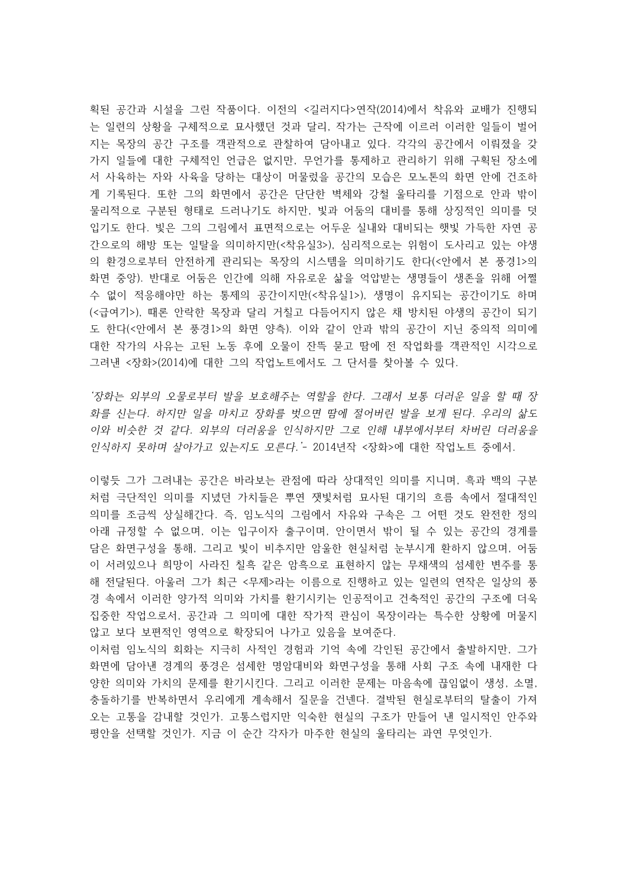획된 공간과 시설을 그린 작품이다. 이전의 <길러지다>연작(2014)에서 착유와 교배가 진행되 는 일련의 상황을 구체적으로 묘사했던 것과 달리, 작가는 근작에 이르러 이러한 일들이 벌어 지는 목장의 공간 구조를 객관적으로 관찰하여 담아내고 있다. 각각의 공간에서 이뤄졌을 갖 가지 일들에 대한 구체적인 언급은 없지만, 무언가를 통제하고 관리하기 위해 구획된 장소에 서 사육하는 자와 사육을 당하는 대상이 머물렀을 공간의 모습은 모노톤의 화면 안에 건조하 게 기록된다. 또한 그의 화면에서 공간은 단단한 벽체와 강철 울타리를 기점으로 안과 밖이 물리적으로 구분된 형태로 드러나기도 하지만, 빛과 어둠의 대비를 통해 상징적인 의미를 덧 입기도 한다. 빛은 그의 그림에서 표면적으로는 어두운 실내와 대비되는 햇빛 가득한 자연 공 간으로의 해방 또는 일탈을 의미하지만(< 3>), 착유실 심리적으로는 위험이 도사리고 있는 야생 의 환경으로부터 안전하게 관리되는 목장의 시스템을 의미하기도 한다(<안에서 본 풍경1>의 화면 중앙). 반대로 어둠은 인간에 의해 자유로운 삶을 억압받는 생명들이 생존을 위해 어쩔 수 없이 적응해야만 하는 통제의 공간이지만(<착유실1>), 생명이 유지되는 공간이기도 하며 (<급여기>), 때론 안락한 목장과 달리 거칠고 다듬어지지 않은 채 방치된 야생의 공간이 되기 도 한다(<안에서 본 풍경 >의 화면 양측). 이와 같이 안과 밖의 공간이 지닌 중의적 의미에 대한 작가의 사유는 고된 노동 후에 오물이 잔뜩 묻고 땀에 전 작업화를 객관적인 시각으로 그려낸 < 장화>(2014)에 대한 그의 작업노트에서도 그 단서를 찾아볼 수 있다.

'장화는 외부의 오물로부터 발을 보호해주는 역할을 한다. 그래서 보통 더러운 일을 할 때 장 화를 신는다. 하지만 일을 마치고 장화를 벗으면 땀에 절어버린 발을 보게 된다. 우리의 삶도 이와 비슷한 것 같다. 외부의 더러움을 인식하지만 그로 인해 내부에서부터 차버린 더러움을 인식하지 못하며 살아가고 있는지도 모른다.'- 2014년작 <장화>에 대한 작업노트 중에서.

이렇듯 그가 그려내는 공간은 바라보는 관점에 따라 상대적인 의미를 지니며, 흑과 백의 구분 처럼 극단적인 의미를 지녔던 가치들은 뿌연 잿빛처럼 묘사된 대기의 흐름 속에서 절대적인 의미를 조금씩 상실해간다. 즉, 임노식의 그림에서 자유와 구속은 그 어떤 것도 완전한 정의 아래 규정할 수 없으며, 이는 입구이자 출구이며, 안이면서 밖이 될 수 있는 공간의 경계를 담은 화면구성을 통해, 그리고 빛이 비추지만 암울한 현실처럼 눈부시게 환하지 않으며, 어둠 이 서려있으나 희망이 사라진 칠흑 같은 암흑으로 표현하지 않는 무채색의 섬세한 변주를 통 해 전달된다. 아울러 그가 최근 <무제>라는 이름으로 진행하고 있는 일련의 연작은 일상의 풍 경 속에서 이러한 양가적 의미와 가치를 환기시키는 인공적이고 건축적인 공간의 구조에 더욱 집중한 작업으로서, 공간과 그 의미에 대한 작가적 관심이 목장이라는 특수한 상황에 머물지 않고 보다 보편적인 영역으로 확장되어 나가고 있음을 보여준다.

이처럼 임노식의 회화는 지극히 사적인 경험과 기억 속에 각인된 공간에서 출발하지만, 그가 화면에 담아낸 경계의 풍경은 섬세한 명암대비와 화면구성을 통해 사회 구조 속에 내재한 다 양한 의미와 가치의 문제를 환기시킨다. 그리고 이러한 문제는 마음속에 끊임없이 생성, 소멸, 충돌하기를 반복하면서 우리에게 계속해서 질문을 건넨다. 결박된 현실로부터의 탈출이 가져 오는 고통을 감내할 것인가. 고통스럽지만 익숙한 현실의 구조가 만들어 낸 일시적인 안주와 평안을 선택할 것인가. 지금 이 순간 각자가 마주한 현실의 울타리는 과연 무엇인가.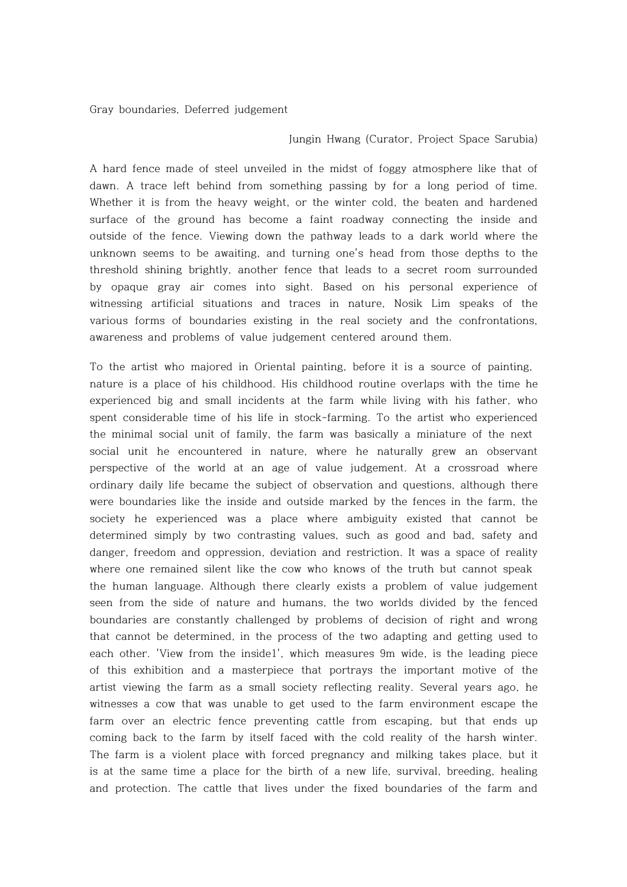Gray boundaries, Deferred judgement

## Jungin Hwang (Curator, Project Space Sarubia)

A hard fence made of steel unveiled in the midst of foggy atmosphere like that of dawn. A trace left behind from something passing by for a long period of time. Whether it is from the heavy weight, or the winter cold, the beaten and hardened surface of the ground has become a faint roadway connecting the inside and outside of the fence. Viewing down the pathway leads to a dark world where the unknown seems to be awaiting, and turning one's head from those depths to the threshold shining brightly, another fence that leads to a secret room surrounded by opaque gray air comes into sight. Based on his personal experience of witnessing artificial situations and traces in nature, Nosik Lim speaks of the various forms of boundaries existing in the real society and the confrontations, awareness and problems of value judgement centered around them.

To the artist who majored in Oriental painting, before it is a source of painting, nature is a place of his childhood. His childhood routine overlaps with the time he experienced big and small incidents at the farm while living with his father, who spent considerable time of his life in stock-farming. To the artist who experienced the minimal social unit of family, the farm was basically a miniature of the next social unit he encountered in nature, where he naturally grew an observant perspective of the world at an age of value judgement. At a crossroad where ordinary daily life became the subject of observation and questions, although there were boundaries like the inside and outside marked by the fences in the farm, the society he experienced was a place where ambiguity existed that cannot be determined simply by two contrasting values, such as good and bad, safety and danger, freedom and oppression, deviation and restriction. It was a space of reality where one remained silent like the cow who knows of the truth but cannot speak the human language. Although there clearly exists a problem of value judgement seen from the side of nature and humans, the two worlds divided by the fenced boundaries are constantly challenged by problems of decision of right and wrong that cannot be determined, in the process of the two adapting and getting used to each other. 'View from the inside1', which measures 9m wide, is the leading piece of this exhibition and a masterpiece that portrays the important motive of the artist viewing the farm as a small society reflecting reality. Several years ago, he witnesses a cow that was unable to get used to the farm environment escape the farm over an electric fence preventing cattle from escaping, but that ends up coming back to the farm by itself faced with the cold reality of the harsh winter. The farm is a violent place with forced pregnancy and milking takes place, but it is at the same time a place for the birth of a new life, survival, breeding, healing and protection. The cattle that lives under the fixed boundaries of the farm and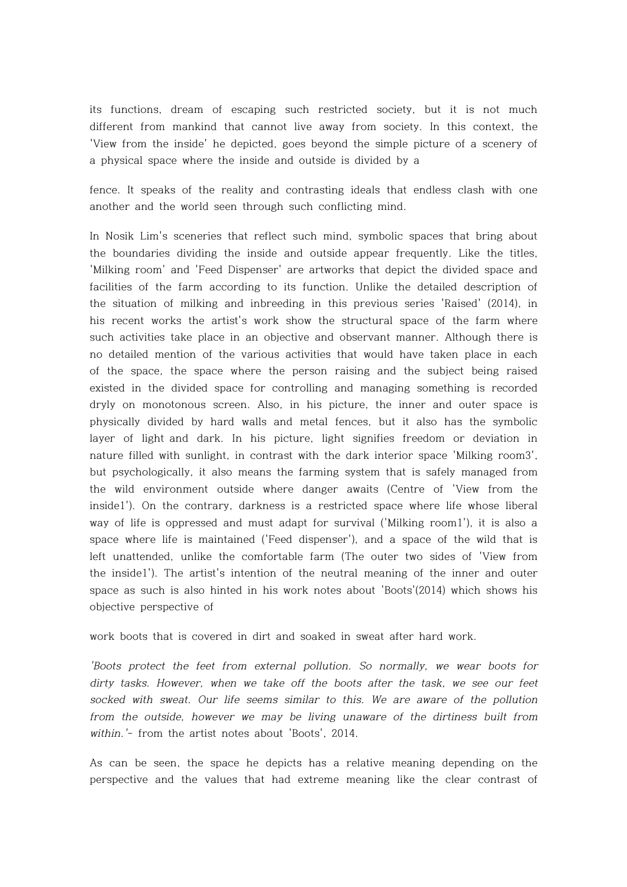its functions, dream of escaping such restricted society, but it is not much different from mankind that cannot live away from society. In this context, the 'View from the inside' he depicted, goes beyond the simple picture of a scenery of a physical space where the inside and outside is divided by a

fence. It speaks of the reality and contrasting ideals that endless clash with one another and the world seen through such conflicting mind.

In Nosik Lim's sceneries that reflect such mind, symbolic spaces that bring about the boundaries dividing the inside and outside appear frequently. Like the titles, 'Milking room' and 'Feed Dispenser' are artworks that depict the divided space and facilities of the farm according to its function. Unlike the detailed description of the situation of milking and inbreeding in this previous series 'Raised' (2014), in his recent works the artist's work show the structural space of the farm where such activities take place in an objective and observant manner. Although there is no detailed mention of the various activities that would have taken place in each of the space, the space where the person raising and the subject being raised existed in the divided space for controlling and managing something is recorded dryly on monotonous screen. Also, in his picture, the inner and outer space is physically divided by hard walls and metal fences, but it also has the symbolic layer of light and dark. In his picture, light signifies freedom or deviation in nature filled with sunlight, in contrast with the dark interior space 'Milking room3', but psychologically, it also means the farming system that is safely managed from the wild environment outside where danger awaits (Centre of 'View from the inside1'). On the contrary, darkness is a restricted space where life whose liberal way of life is oppressed and must adapt for survival ('Milking room1'), it is also a space where life is maintained ('Feed dispenser'), and a space of the wild that is left unattended, unlike the comfortable farm (The outer two sides of 'View from the inside1'). The artist's intention of the neutral meaning of the inner and outer space as such is also hinted in his work notes about 'Boots'(2014) which shows his objective perspective of

work boots that is covered in dirt and soaked in sweat after hard work.

'Boots protect the feet from external pollution. So normally, we wear boots for dirty tasks. However, when we take off the boots after the task, we see our feet socked with sweat. Our life seems similar to this. We are aware of the pollution from the outside, however we may be living unaware of the dirtiness built from within.'- from the artist notes about 'Boots', 2014.

As can be seen, the space he depicts has a relative meaning depending on the perspective and the values that had extreme meaning like the clear contrast of